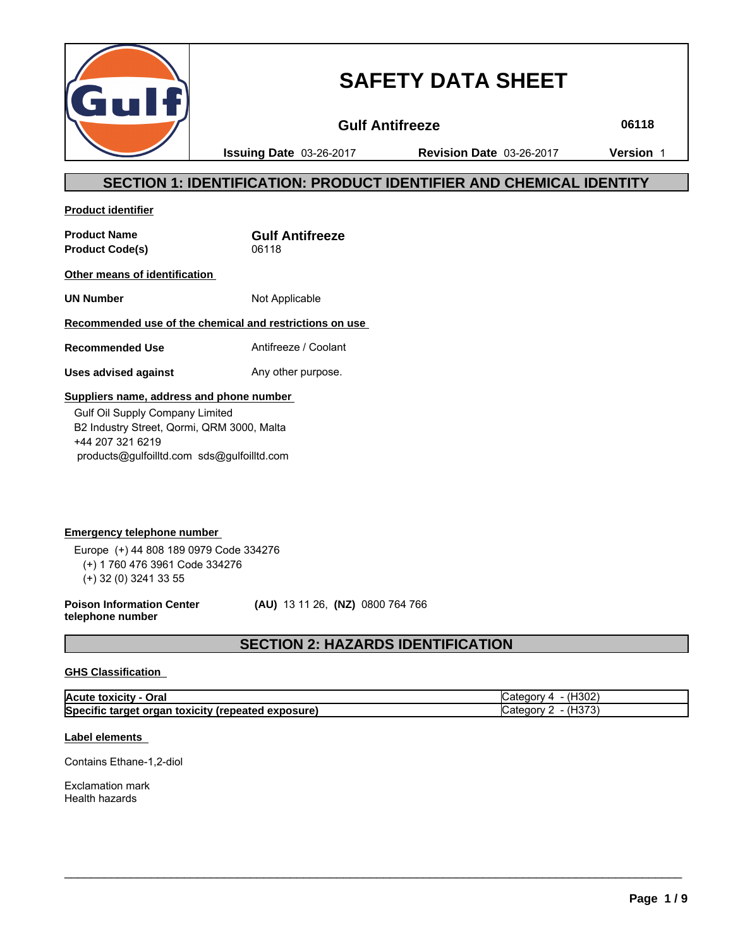

# **SAFETY DATA SHEET**

**Gulf Antifreeze 06118**

**Issuing Date** 03-26-2017 **Revision Date** 03-26-2017 **Version** 1

# **SECTION 1: IDENTIFICATION: PRODUCT IDENTIFIER AND CHEMICAL IDENTITY**

**Product identifier**

**Product Name Gulf Antifreeze** Product Code(s) 06118

**Other means of identification** 

**UN Number** Not Applicable

### **Recommended use of the chemical and restrictions on use**

**Recommended Use** Antifreeze / Coolant

**Uses advised against** Any other purpose.

### **Suppliers name, address and phone number**

 Gulf Oil Supply Company Limited B2 Industry Street, Qormi, QRM 3000, Malta +44 207 321 6219 products@gulfoilltd.com sds@gulfoilltd.com

**Emergency telephone number**  Europe (+) 44 808 189 0979 Code 334276 (+) 1 760 476 3961 Code 334276 (+) 32 (0) 3241 33 55

**Poison Information Center telephone number**

 **(AU)** 13 11 26, **(NZ)** 0800 764 766

# **SECTION 2: HAZARDS IDENTIFICATION**

### **GHS Classification**

| Acute toxicity - Oral                              | (H <sub>302</sub> )<br>ategory 4- |
|----------------------------------------------------|-----------------------------------|
| Specific target organ toxicity (repeated exposure) | 4Н373,<br>∵atedorv                |

 $\_$  ,  $\_$  ,  $\_$  ,  $\_$  ,  $\_$  ,  $\_$  ,  $\_$  ,  $\_$  ,  $\_$  ,  $\_$  ,  $\_$  ,  $\_$  ,  $\_$  ,  $\_$  ,  $\_$  ,  $\_$  ,  $\_$  ,  $\_$  ,  $\_$  ,  $\_$  ,  $\_$  ,  $\_$  ,  $\_$  ,  $\_$  ,  $\_$  ,  $\_$  ,  $\_$  ,  $\_$  ,  $\_$  ,  $\_$  ,  $\_$  ,  $\_$  ,  $\_$  ,  $\_$  ,  $\_$  ,  $\_$  ,  $\_$  ,

### **Label elements**

Contains Ethane-1,2-diol

Exclamation mark Health hazards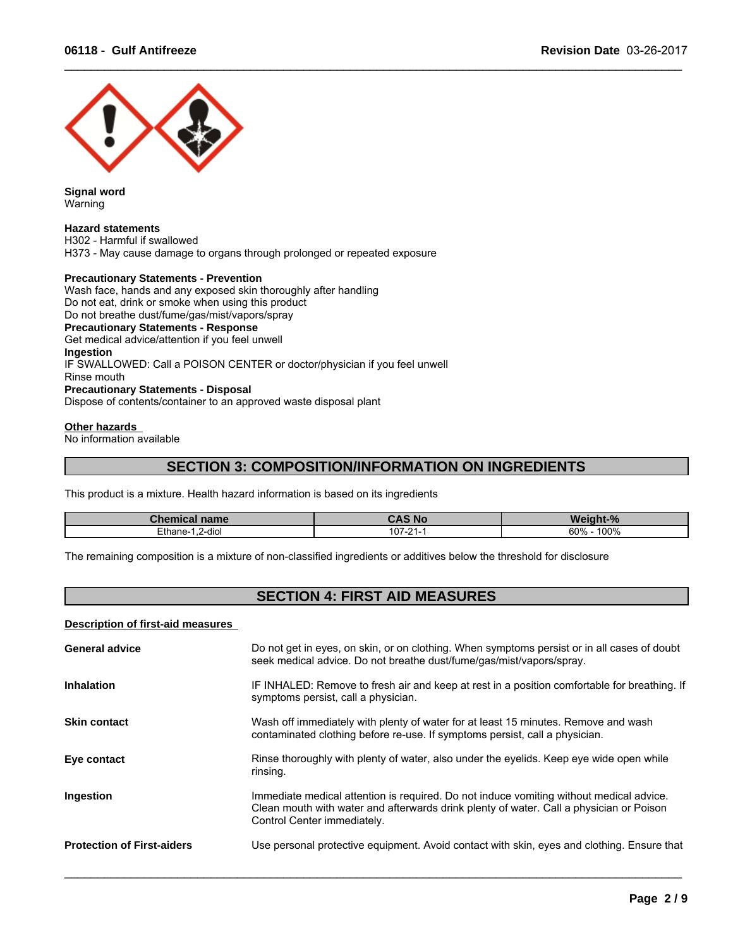

**Signal word** Warning

#### **Hazard statements**

H302 - Harmful if swallowed H373 - May cause damage to organs through prolonged or repeated exposure

### **Precautionary Statements - Prevention**

Wash face, hands and any exposed skin thoroughly after handling Do not eat, drink or smoke when using this product Do not breathe dust/fume/gas/mist/vapors/spray **Precautionary Statements - Response** Get medical advice/attention if you feel unwell **Ingestion** IF SWALLOWED: Call a POISON CENTER or doctor/physician if you feel unwell Rinse mouth **Precautionary Statements - Disposal** Dispose of contents/container to an approved waste disposal plant

### **Other hazards**

No information available

### **SECTION 3: COMPOSITION/INFORMATION ON INGREDIENTS**

 $\_$  ,  $\_$  ,  $\_$  ,  $\_$  ,  $\_$  ,  $\_$  ,  $\_$  ,  $\_$  ,  $\_$  ,  $\_$  ,  $\_$  ,  $\_$  ,  $\_$  ,  $\_$  ,  $\_$  ,  $\_$  ,  $\_$  ,  $\_$  ,  $\_$  ,  $\_$  ,  $\_$  ,  $\_$  ,  $\_$  ,  $\_$  ,  $\_$  ,  $\_$  ,  $\_$  ,  $\_$  ,  $\_$  ,  $\_$  ,  $\_$  ,  $\_$  ,  $\_$  ,  $\_$  ,  $\_$  ,  $\_$  ,  $\_$  ,

This product is a mixture. Health hazard information is based on its ingredients

| Chemical name                                 | <b>CAS No.</b>    | <b>Weinht</b><br>$^{\circ}$ |
|-----------------------------------------------|-------------------|-----------------------------|
| Ethane-<br>2-diol<br>$\overline{\phantom{a}}$ | $107 -$<br>$\sim$ | 100%<br>60%                 |

The remaining composition is a mixture of non-classified ingredients or additives below the threshold for disclosure

# **SECTION 4: FIRST AID MEASURES**

#### **Description of first-aid measures**

| <b>General advice</b>             | Do not get in eyes, on skin, or on clothing. When symptoms persist or in all cases of doubt<br>seek medical advice. Do not breathe dust/fume/gas/mist/vapors/spray.                                               |
|-----------------------------------|-------------------------------------------------------------------------------------------------------------------------------------------------------------------------------------------------------------------|
| <b>Inhalation</b>                 | IF INHALED: Remove to fresh air and keep at rest in a position comfortable for breathing. If<br>symptoms persist, call a physician.                                                                               |
| <b>Skin contact</b>               | Wash off immediately with plenty of water for at least 15 minutes. Remove and wash<br>contaminated clothing before re-use. If symptoms persist, call a physician.                                                 |
| Eye contact                       | Rinse thoroughly with plenty of water, also under the eyelids. Keep eye wide open while<br>rinsing.                                                                                                               |
| Ingestion                         | Immediate medical attention is required. Do not induce vomiting without medical advice.<br>Clean mouth with water and afterwards drink plenty of water. Call a physician or Poison<br>Control Center immediately. |
| <b>Protection of First-aiders</b> | Use personal protective equipment. Avoid contact with skin, eyes and clothing. Ensure that                                                                                                                        |
|                                   |                                                                                                                                                                                                                   |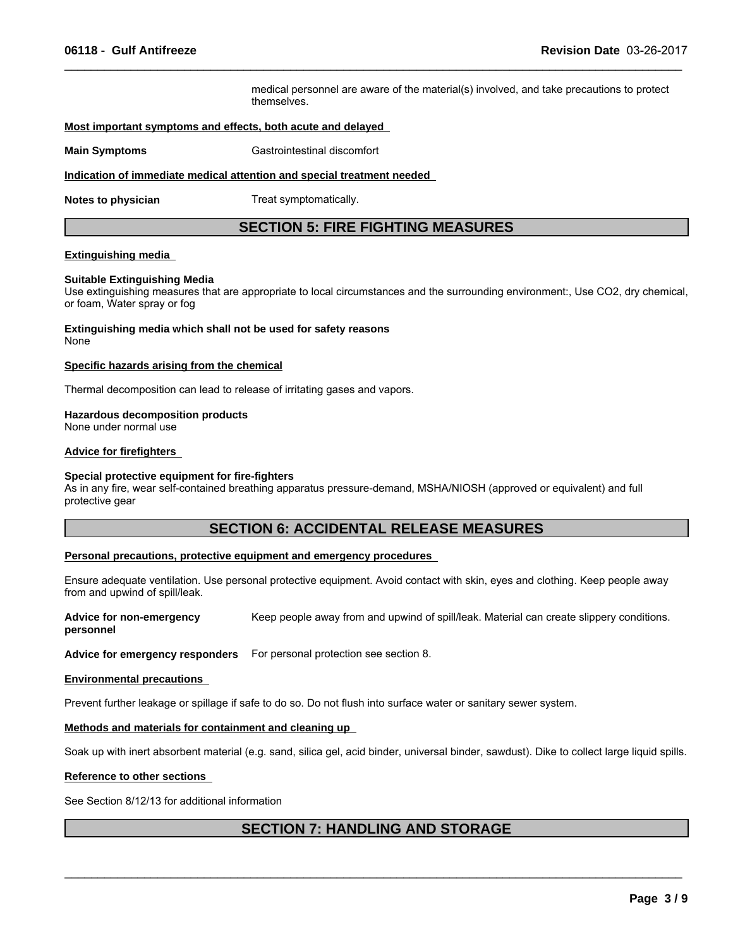medical personnel are aware of the material(s) involved, and take precautions to protect themselves.

 $\_$  ,  $\_$  ,  $\_$  ,  $\_$  ,  $\_$  ,  $\_$  ,  $\_$  ,  $\_$  ,  $\_$  ,  $\_$  ,  $\_$  ,  $\_$  ,  $\_$  ,  $\_$  ,  $\_$  ,  $\_$  ,  $\_$  ,  $\_$  ,  $\_$  ,  $\_$  ,  $\_$  ,  $\_$  ,  $\_$  ,  $\_$  ,  $\_$  ,  $\_$  ,  $\_$  ,  $\_$  ,  $\_$  ,  $\_$  ,  $\_$  ,  $\_$  ,  $\_$  ,  $\_$  ,  $\_$  ,  $\_$  ,  $\_$  ,

### **Most important symptoms and effects, both acute and delayed**

**Main Symptoms** Gastrointestinal discomfort

#### **Indication of immediate medical attention and special treatment needed**

**Notes to physician** Treat symptomatically.

### **SECTION 5: FIRE FIGHTING MEASURES**

### **Extinguishing media**

### **Suitable Extinguishing Media**

Use extinguishing measures that are appropriate to local circumstances and the surrounding environment:, Use CO2, dry chemical, or foam, Water spray or fog

**Extinguishing media which shall not be used for safety reasons** None

#### **Specific hazards arising from the chemical**

Thermal decomposition can lead to release of irritating gases and vapors.

### **Hazardous decomposition products**

None under normal use

### **Advice for firefighters**

#### **Special protective equipment for fire-fighters**

As in any fire, wear self-contained breathing apparatus pressure-demand, MSHA/NIOSH (approved or equivalent) and full protective gear

### **SECTION 6: ACCIDENTAL RELEASE MEASURES**

### **Personal precautions, protective equipment and emergency procedures**

Ensure adequate ventilation. Use personal protective equipment. Avoid contact with skin, eyes and clothing. Keep people away from and upwind of spill/leak.

**Advice for non-emergency personnel** Keep people away from and upwind of spill/leak. Material can create slippery conditions.

**Advice for emergency responders** For personal protection see section 8.

#### **Environmental precautions**

Prevent further leakage or spillage if safe to do so. Do not flush into surface water or sanitary sewer system.

### **Methods and materials for containment and cleaning up**

Soak up with inert absorbent material (e.g. sand, silica gel, acid binder, universal binder, sawdust). Dike to collect large liquid spills.

#### **Reference to other sections**

See Section 8/12/13 for additional information

### **SECTION 7: HANDLING AND STORAGE**

 $\mathcal{L}_\mathcal{L} = \{ \mathcal{L}_\mathcal{L} = \{ \mathcal{L}_\mathcal{L} = \{ \mathcal{L}_\mathcal{L} = \{ \mathcal{L}_\mathcal{L} = \{ \mathcal{L}_\mathcal{L} = \{ \mathcal{L}_\mathcal{L} = \{ \mathcal{L}_\mathcal{L} = \{ \mathcal{L}_\mathcal{L} = \{ \mathcal{L}_\mathcal{L} = \{ \mathcal{L}_\mathcal{L} = \{ \mathcal{L}_\mathcal{L} = \{ \mathcal{L}_\mathcal{L} = \{ \mathcal{L}_\mathcal{L} = \{ \mathcal{L}_\mathcal{$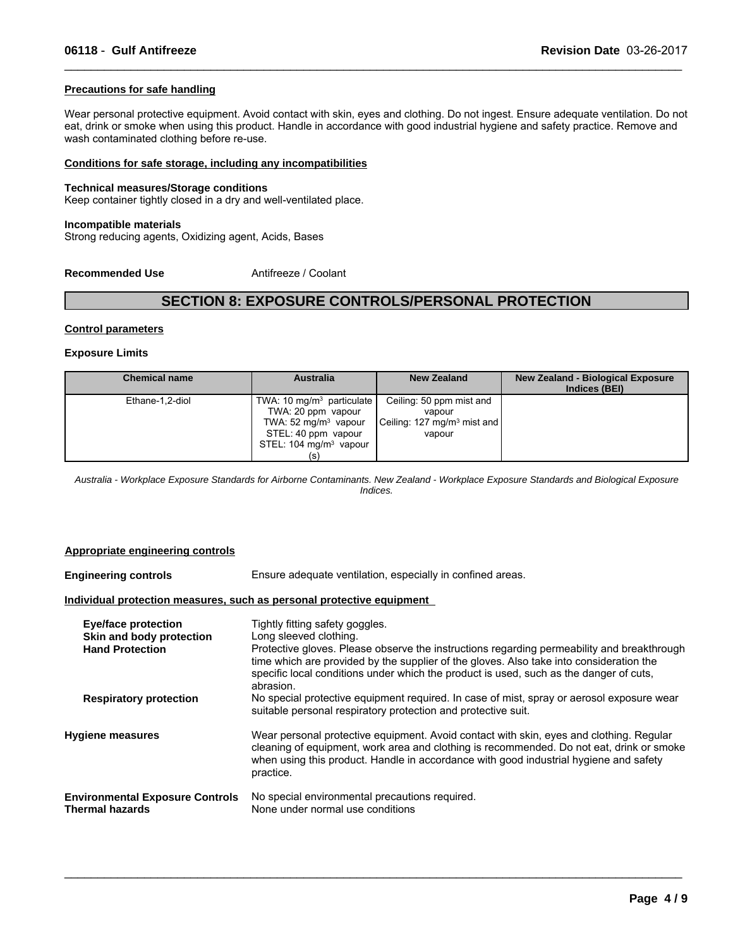### **Precautions for safe handling**

Wear personal protective equipment. Avoid contact with skin, eyes and clothing. Do not ingest. Ensure adequate ventilation. Do not eat, drink or smoke when using this product. Handle in accordance with good industrial hygiene and safety practice. Remove and wash contaminated clothing before re-use.

 $\_$  ,  $\_$  ,  $\_$  ,  $\_$  ,  $\_$  ,  $\_$  ,  $\_$  ,  $\_$  ,  $\_$  ,  $\_$  ,  $\_$  ,  $\_$  ,  $\_$  ,  $\_$  ,  $\_$  ,  $\_$  ,  $\_$  ,  $\_$  ,  $\_$  ,  $\_$  ,  $\_$  ,  $\_$  ,  $\_$  ,  $\_$  ,  $\_$  ,  $\_$  ,  $\_$  ,  $\_$  ,  $\_$  ,  $\_$  ,  $\_$  ,  $\_$  ,  $\_$  ,  $\_$  ,  $\_$  ,  $\_$  ,  $\_$  ,

#### **Conditions for safe storage, including any incompatibilities**

#### **Technical measures/Storage conditions**

Keep container tightly closed in a dry and well-ventilated place.

### **Incompatible materials**

Strong reducing agents, Oxidizing agent, Acids, Bases

**Recommended Use** Antifreeze / Coolant

### **SECTION 8: EXPOSURE CONTROLS/PERSONAL PROTECTION**

#### **Control parameters**

#### **Exposure Limits**

| <b>Chemical name</b> | <b>Australia</b>                                                                                                                                           | <b>New Zealand</b>                                                                      | <b>New Zealand - Biological Exposure</b><br>Indices (BEI) |
|----------------------|------------------------------------------------------------------------------------------------------------------------------------------------------------|-----------------------------------------------------------------------------------------|-----------------------------------------------------------|
| Ethane-1,2-diol      | TWA: 10 mg/m <sup>3</sup> particulate<br>TWA: 20 ppm vapour<br>TWA: $52 \text{ mg/m}^3$ vapour<br>STEL: 40 ppm vapour<br>STEL: $104 \text{ mg/m}^3$ vapour | Ceiling: 50 ppm mist and<br>vapour<br>Ceiling: 127 mg/m <sup>3</sup> mist and<br>vapour |                                                           |

*Australia - Workplace Exposure Standards for Airborne Contaminants. New Zealand - Workplace Exposure Standards and Biological Exposure Indices.*

#### **Appropriate engineering controls**

**Engineering controls** Ensure adequate ventilation, especially in confined areas. **Individual protection measures, such as personal protective equipment Eye/face protection** Tightly fitting safety goggles. **Skin and body protection** Long sleeved clothing.<br> **Hand Protection** Protective gloves Plea Protective gloves. Please observe the instructions regarding permeability and breakthrough time which are provided by the supplier of the gloves. Also take into consideration the specific local conditions under which the product is used, such as the danger of cuts, abrasion. **Respiratory protection** No special protective equipment required. In case of mist, spray or aerosol exposure wear suitable personal respiratory protection and protective suit. **Hygiene measures** Wear personal protective equipment. Avoid contact with skin, eyes and clothing. Regular cleaning of equipment, work area and clothing is recommended. Do not eat, drink or smoke when using this product. Handle in accordance with good industrial hygiene and safety practice. **Environmental Exposure Controls** No special environmental precautions required.<br>Thermal hazards **None under normal use conditions** None under normal use conditions

 $\_$  ,  $\_$  ,  $\_$  ,  $\_$  ,  $\_$  ,  $\_$  ,  $\_$  ,  $\_$  ,  $\_$  ,  $\_$  ,  $\_$  ,  $\_$  ,  $\_$  ,  $\_$  ,  $\_$  ,  $\_$  ,  $\_$  ,  $\_$  ,  $\_$  ,  $\_$  ,  $\_$  ,  $\_$  ,  $\_$  ,  $\_$  ,  $\_$  ,  $\_$  ,  $\_$  ,  $\_$  ,  $\_$  ,  $\_$  ,  $\_$  ,  $\_$  ,  $\_$  ,  $\_$  ,  $\_$  ,  $\_$  ,  $\_$  ,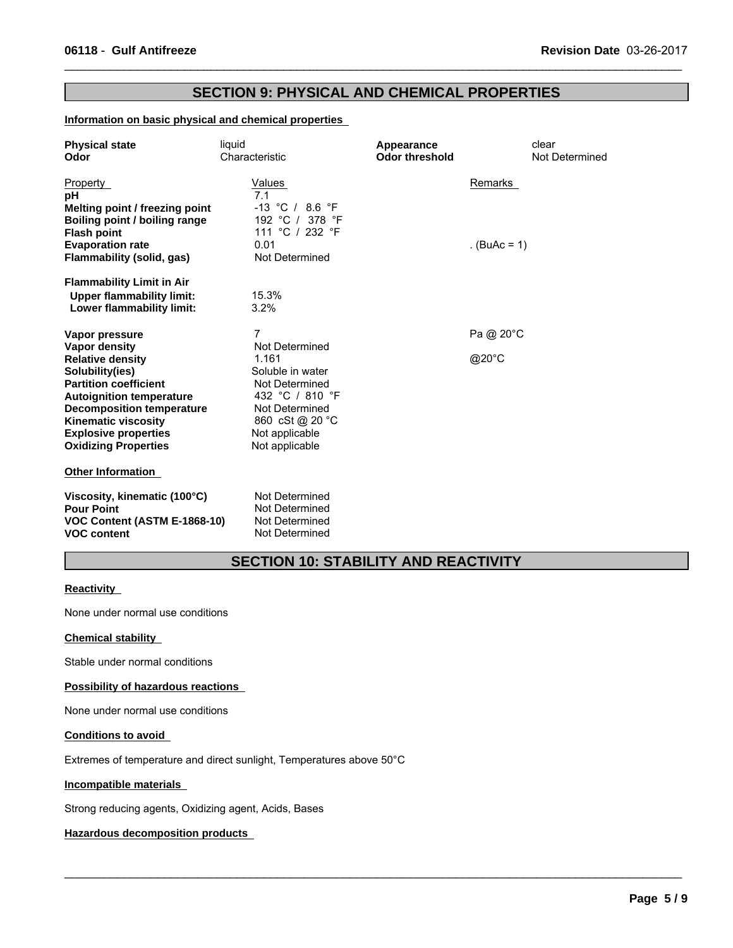### **SECTION 9: PHYSICAL AND CHEMICAL PROPERTIES**

 $\_$  ,  $\_$  ,  $\_$  ,  $\_$  ,  $\_$  ,  $\_$  ,  $\_$  ,  $\_$  ,  $\_$  ,  $\_$  ,  $\_$  ,  $\_$  ,  $\_$  ,  $\_$  ,  $\_$  ,  $\_$  ,  $\_$  ,  $\_$  ,  $\_$  ,  $\_$  ,  $\_$  ,  $\_$  ,  $\_$  ,  $\_$  ,  $\_$  ,  $\_$  ,  $\_$  ,  $\_$  ,  $\_$  ,  $\_$  ,  $\_$  ,  $\_$  ,  $\_$  ,  $\_$  ,  $\_$  ,  $\_$  ,  $\_$  ,

### **Information on basic physical and chemical properties**

| <b>Physical state</b><br>Odor                                                                                                                                                                                                                                                    | liquid<br>Characteristic                                                                                                                                       | Appearance<br><b>Odor threshold</b> | clear<br>Not Determined |
|----------------------------------------------------------------------------------------------------------------------------------------------------------------------------------------------------------------------------------------------------------------------------------|----------------------------------------------------------------------------------------------------------------------------------------------------------------|-------------------------------------|-------------------------|
| Property<br>pH<br>Melting point / freezing point<br>Boiling point / boiling range<br><b>Flash point</b><br><b>Evaporation rate</b>                                                                                                                                               | Values<br>7.1<br>$-13$ °C / 8.6 °F<br>192 °C / 378 °F<br>111 °C / 232 °F<br>0.01                                                                               | Remarks<br>. $(BuAc = 1)$           |                         |
| Flammability (solid, gas)<br><b>Flammability Limit in Air</b><br><b>Upper flammability limit:</b><br>Lower flammability limit:                                                                                                                                                   | Not Determined<br>15.3%<br>3.2%                                                                                                                                |                                     |                         |
| Vapor pressure<br>Vapor density<br><b>Relative density</b><br>Solubility(ies)<br><b>Partition coefficient</b><br><b>Autoignition temperature</b><br><b>Decomposition temperature</b><br><b>Kinematic viscosity</b><br><b>Explosive properties</b><br><b>Oxidizing Properties</b> | 7<br>Not Determined<br>1.161<br>Soluble in water<br>Not Determined<br>432 °C / 810 °F<br>Not Determined<br>860 cSt @ 20 °C<br>Not applicable<br>Not applicable | Pa @ 20°C<br>@20°C                  |                         |
| <b>Other Information</b><br>Viscosity, kinematic (100°C)<br><b>Pour Point</b><br>VOC Content (ASTM E-1868-10)<br><b>VOC content</b>                                                                                                                                              | Not Determined<br>Not Determined<br>Not Determined<br>Not Determined                                                                                           |                                     |                         |

# **SECTION 10: STABILITY AND REACTIVITY**

 $\_$  ,  $\_$  ,  $\_$  ,  $\_$  ,  $\_$  ,  $\_$  ,  $\_$  ,  $\_$  ,  $\_$  ,  $\_$  ,  $\_$  ,  $\_$  ,  $\_$  ,  $\_$  ,  $\_$  ,  $\_$  ,  $\_$  ,  $\_$  ,  $\_$  ,  $\_$  ,  $\_$  ,  $\_$  ,  $\_$  ,  $\_$  ,  $\_$  ,  $\_$  ,  $\_$  ,  $\_$  ,  $\_$  ,  $\_$  ,  $\_$  ,  $\_$  ,  $\_$  ,  $\_$  ,  $\_$  ,  $\_$  ,  $\_$  ,

### **Reactivity**

None under normal use conditions

### **Chemical stability**

Stable under normal conditions

### **Possibility of hazardous reactions**

None under normal use conditions

### **Conditions to avoid**

Extremes of temperature and direct sunlight, Temperatures above 50°C

### **Incompatible materials**

Strong reducing agents, Oxidizing agent, Acids, Bases

### **Hazardous decomposition products**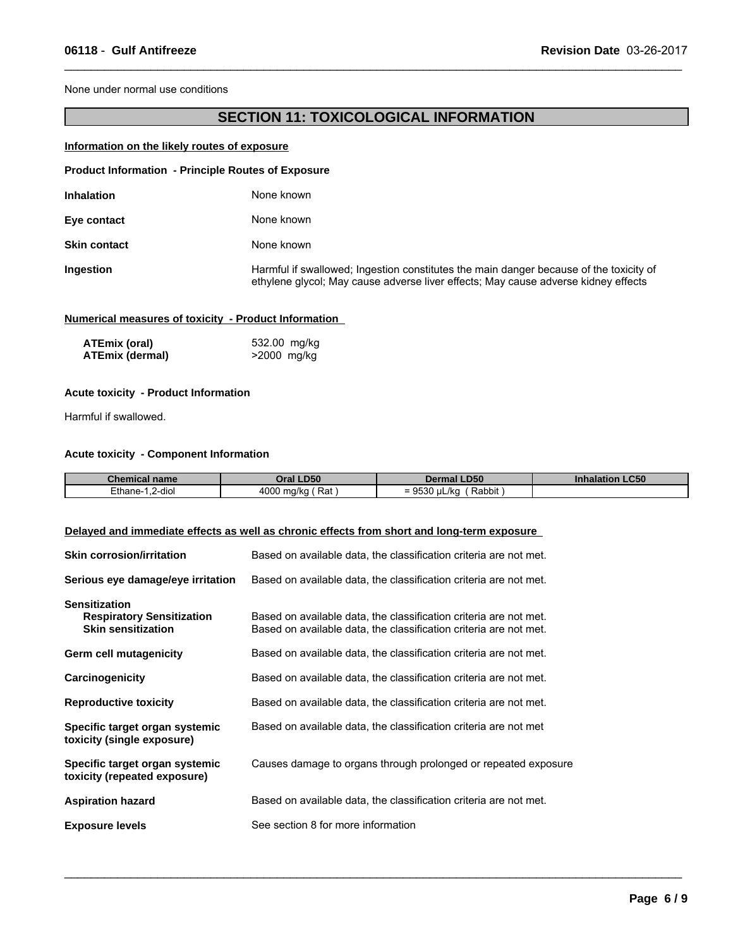None under normal use conditions

# **SECTION 11: TOXICOLOGICAL INFORMATION**

 $\_$  ,  $\_$  ,  $\_$  ,  $\_$  ,  $\_$  ,  $\_$  ,  $\_$  ,  $\_$  ,  $\_$  ,  $\_$  ,  $\_$  ,  $\_$  ,  $\_$  ,  $\_$  ,  $\_$  ,  $\_$  ,  $\_$  ,  $\_$  ,  $\_$  ,  $\_$  ,  $\_$  ,  $\_$  ,  $\_$  ,  $\_$  ,  $\_$  ,  $\_$  ,  $\_$  ,  $\_$  ,  $\_$  ,  $\_$  ,  $\_$  ,  $\_$  ,  $\_$  ,  $\_$  ,  $\_$  ,  $\_$  ,  $\_$  ,

### **Information on the likely routes of exposure**

| <b>Product Information - Principle Routes of Exposure</b> |                                                                                                                                                                              |
|-----------------------------------------------------------|------------------------------------------------------------------------------------------------------------------------------------------------------------------------------|
| <b>Inhalation</b>                                         | None known                                                                                                                                                                   |
| Eye contact                                               | None known                                                                                                                                                                   |
| <b>Skin contact</b>                                       | None known                                                                                                                                                                   |
| Ingestion                                                 | Harmful if swallowed; Ingestion constitutes the main danger because of the toxicity of<br>ethylene glycol; May cause adverse liver effects; May cause adverse kidney effects |

### **Numerical measures of toxicity - Product Information**

| ATEmix (oral)   | 532.00 mg/kg |
|-----------------|--------------|
| ATEmix (dermal) | >2000 mg/kg  |

### **Acute toxicity - Product Information**

Harmful if swallowed.

### **Acute toxicity - Component Information**

| <b>Chemical name</b>             | <b>DEO</b>                  | .D50                                                | <b>LC50</b> |
|----------------------------------|-----------------------------|-----------------------------------------------------|-------------|
|                                  | טכּש.                       | Dermal                                              | Inhalation  |
| $\cdots$<br>2-dio<br>∠thane-<br> | 4000<br>Rat<br>ma/ko<br>. . | Rabbit<br>، اا<br>-<br>.<br>'' ⊔L/K⊾<br>$=$<br>ວບບບ |             |

 $\_$  ,  $\_$  ,  $\_$  ,  $\_$  ,  $\_$  ,  $\_$  ,  $\_$  ,  $\_$  ,  $\_$  ,  $\_$  ,  $\_$  ,  $\_$  ,  $\_$  ,  $\_$  ,  $\_$  ,  $\_$  ,  $\_$  ,  $\_$  ,  $\_$  ,  $\_$  ,  $\_$  ,  $\_$  ,  $\_$  ,  $\_$  ,  $\_$  ,  $\_$  ,  $\_$  ,  $\_$  ,  $\_$  ,  $\_$  ,  $\_$  ,  $\_$  ,  $\_$  ,  $\_$  ,  $\_$  ,  $\_$  ,  $\_$  ,

### **Delayed and immediate effects as well as chronic effects from short and long-term exposure**

| <b>Skin corrosion/irritation</b>                                                      | Based on available data, the classification criteria are not met.                                                                      |
|---------------------------------------------------------------------------------------|----------------------------------------------------------------------------------------------------------------------------------------|
| Serious eye damage/eye irritation                                                     | Based on available data, the classification criteria are not met.                                                                      |
| <b>Sensitization</b><br><b>Respiratory Sensitization</b><br><b>Skin sensitization</b> | Based on available data, the classification criteria are not met.<br>Based on available data, the classification criteria are not met. |
| <b>Germ cell mutagenicity</b>                                                         | Based on available data, the classification criteria are not met.                                                                      |
| Carcinogenicity                                                                       | Based on available data, the classification criteria are not met.                                                                      |
| <b>Reproductive toxicity</b>                                                          | Based on available data, the classification criteria are not met.                                                                      |
| Specific target organ systemic<br>toxicity (single exposure)                          | Based on available data, the classification criteria are not met                                                                       |
| Specific target organ systemic<br>toxicity (repeated exposure)                        | Causes damage to organs through prolonged or repeated exposure                                                                         |
| <b>Aspiration hazard</b>                                                              | Based on available data, the classification criteria are not met.                                                                      |
| <b>Exposure levels</b>                                                                | See section 8 for more information                                                                                                     |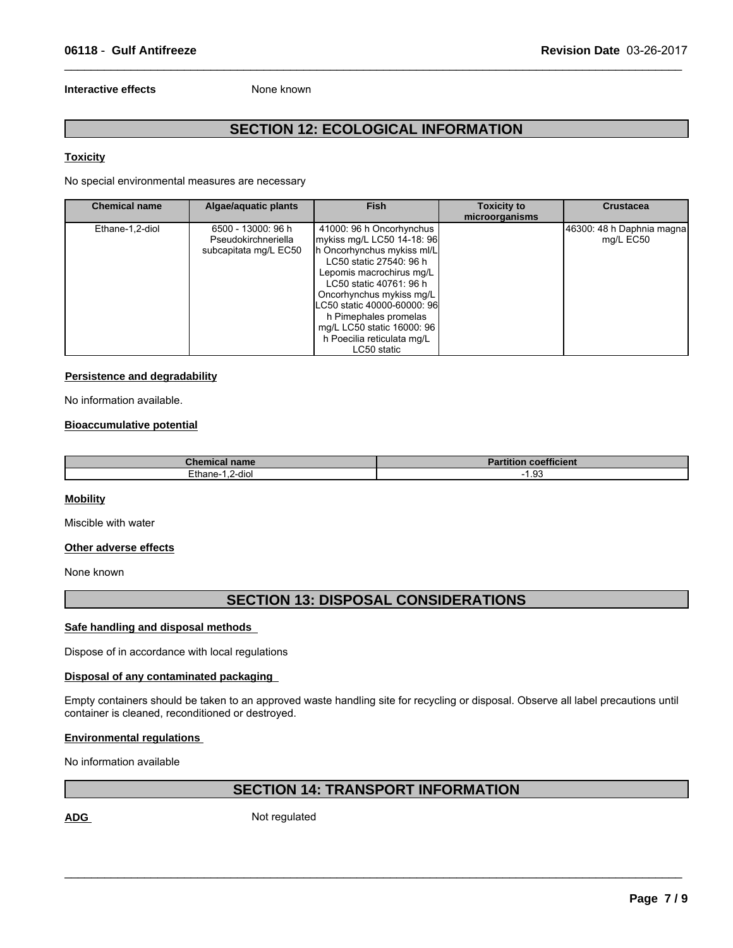### **Interactive effects** None known

# **SECTION 12: ECOLOGICAL INFORMATION**

 $\_$  ,  $\_$  ,  $\_$  ,  $\_$  ,  $\_$  ,  $\_$  ,  $\_$  ,  $\_$  ,  $\_$  ,  $\_$  ,  $\_$  ,  $\_$  ,  $\_$  ,  $\_$  ,  $\_$  ,  $\_$  ,  $\_$  ,  $\_$  ,  $\_$  ,  $\_$  ,  $\_$  ,  $\_$  ,  $\_$  ,  $\_$  ,  $\_$  ,  $\_$  ,  $\_$  ,  $\_$  ,  $\_$  ,  $\_$  ,  $\_$  ,  $\_$  ,  $\_$  ,  $\_$  ,  $\_$  ,  $\_$  ,  $\_$  ,

### **Toxicity**

No special environmental measures are necessary

| <b>Chemical name</b> | Algae/aquatic plants                                               | <b>Fish</b>                                                                                                                                                                                                                                                                                                                           | <b>Toxicity to</b><br>microorganisms | <b>Crustacea</b>                       |
|----------------------|--------------------------------------------------------------------|---------------------------------------------------------------------------------------------------------------------------------------------------------------------------------------------------------------------------------------------------------------------------------------------------------------------------------------|--------------------------------------|----------------------------------------|
| Ethane-1,2-diol      | 6500 - 13000: 96 h<br>Pseudokirchneriella<br>subcapitata mg/L EC50 | 41000: 96 h Oncorhynchus<br>mykiss mg/L LC50 14-18: 96<br>h Oncorhynchus mykiss ml/L<br>LC50 static 27540: 96 h<br>Lepomis macrochirus mg/L<br>LC50 static 40761: 96 h<br>Oncorhynchus mykiss mg/L<br>LC50 static 40000-60000: 96<br>h Pimephales promelas<br>mg/L LC50 static 16000: 96<br>h Poecilia reticulata mg/L<br>LC50 static |                                      | 46300: 48 h Daphnia magna<br>mg/L EC50 |

### **Persistence and degradability**

No information available.

#### **Bioaccumulative potential**

| <b>Chemical name</b> | <b>Partition coefficient</b>  |
|----------------------|-------------------------------|
| Ethane-<br>2-diol    | $\sim$<br>. .<br>$\cdot$ . JJ |

### **Mobility**

Miscible with water

### **Other adverse effects**

None known

### **SECTION 13: DISPOSAL CONSIDERATIONS**

### **Safe handling and disposal methods**

Dispose of in accordance with local regulations

### **Disposal of any contaminated packaging**

Empty containers should be taken to an approved waste handling site for recycling or disposal. Observe all label precautions until container is cleaned, reconditioned or destroyed.

### **Environmental regulations**

No information available

## **SECTION 14: TRANSPORT INFORMATION**

 $\mathcal{L}_\mathcal{L} = \{ \mathcal{L}_\mathcal{L} = \{ \mathcal{L}_\mathcal{L} = \{ \mathcal{L}_\mathcal{L} = \{ \mathcal{L}_\mathcal{L} = \{ \mathcal{L}_\mathcal{L} = \{ \mathcal{L}_\mathcal{L} = \{ \mathcal{L}_\mathcal{L} = \{ \mathcal{L}_\mathcal{L} = \{ \mathcal{L}_\mathcal{L} = \{ \mathcal{L}_\mathcal{L} = \{ \mathcal{L}_\mathcal{L} = \{ \mathcal{L}_\mathcal{L} = \{ \mathcal{L}_\mathcal{L} = \{ \mathcal{L}_\mathcal{$ 

ADG Not regulated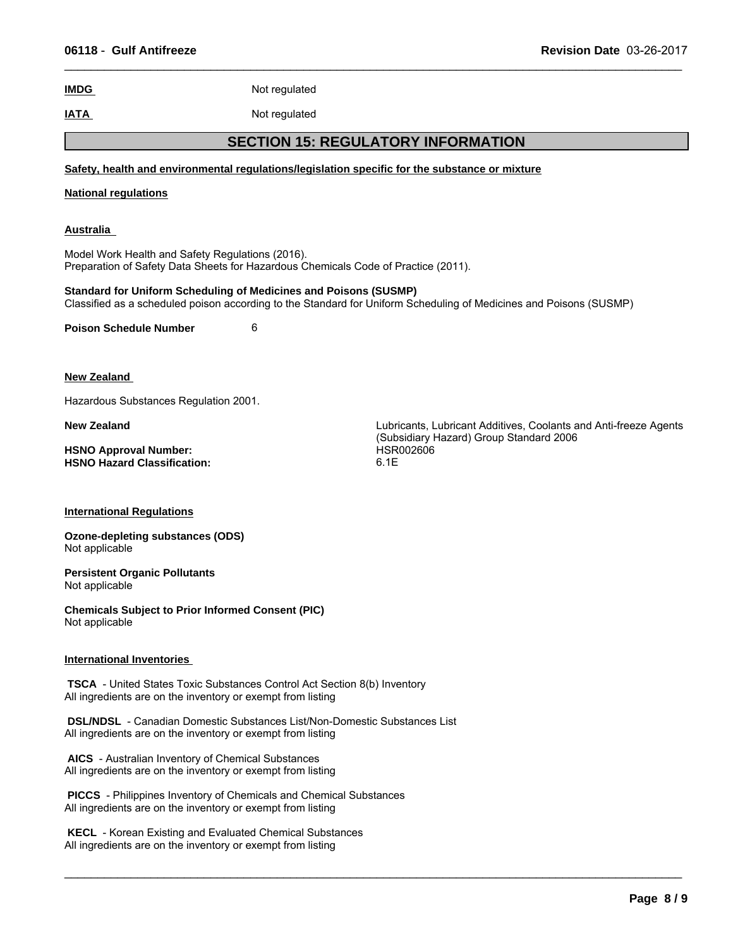$\_$  ,  $\_$  ,  $\_$  ,  $\_$  ,  $\_$  ,  $\_$  ,  $\_$  ,  $\_$  ,  $\_$  ,  $\_$  ,  $\_$  ,  $\_$  ,  $\_$  ,  $\_$  ,  $\_$  ,  $\_$  ,  $\_$  ,  $\_$  ,  $\_$  ,  $\_$  ,  $\_$  ,  $\_$  ,  $\_$  ,  $\_$  ,  $\_$  ,  $\_$  ,  $\_$  ,  $\_$  ,  $\_$  ,  $\_$  ,  $\_$  ,  $\_$  ,  $\_$  ,  $\_$  ,  $\_$  ,  $\_$  ,  $\_$  ,

| 06118 - Gulf Antifreeze                                                                                                                        |               | <b>Revision Date 03-26-2017</b>                                                                                    |  |
|------------------------------------------------------------------------------------------------------------------------------------------------|---------------|--------------------------------------------------------------------------------------------------------------------|--|
| <b>IMDG</b>                                                                                                                                    | Not regulated |                                                                                                                    |  |
| <b>IATA</b>                                                                                                                                    | Not regulated |                                                                                                                    |  |
|                                                                                                                                                |               | <b>SECTION 15: REGULATORY INFORMATION</b>                                                                          |  |
|                                                                                                                                                |               | Safety, health and environmental regulations/legislation specific for the substance or mixture                     |  |
| <b>National regulations</b>                                                                                                                    |               |                                                                                                                    |  |
| <u>Australia</u>                                                                                                                               |               |                                                                                                                    |  |
| Model Work Health and Safety Regulations (2016).<br>Preparation of Safety Data Sheets for Hazardous Chemicals Code of Practice (2011).         |               |                                                                                                                    |  |
| <b>Standard for Uniform Scheduling of Medicines and Poisons (SUSMP)</b>                                                                        |               | Classified as a scheduled poison according to the Standard for Uniform Scheduling of Medicines and Poisons (SUSMP) |  |
| <b>Poison Schedule Number</b>                                                                                                                  | 6             |                                                                                                                    |  |
| <b>New Zealand</b>                                                                                                                             |               |                                                                                                                    |  |
| Hazardous Substances Regulation 2001.                                                                                                          |               |                                                                                                                    |  |
| <b>New Zealand</b>                                                                                                                             |               | Lubricants, Lubricant Additives, Coolants and Anti-freeze Agents<br>(Subsidiary Hazard) Group Standard 2006        |  |
| <b>HSNO Approval Number:</b><br><b>HSNO Hazard Classification:</b>                                                                             |               | HSR002606<br>6.1E                                                                                                  |  |
| <b>International Regulations</b>                                                                                                               |               |                                                                                                                    |  |
| <b>Ozone-depleting substances (ODS)</b><br>Not applicable                                                                                      |               |                                                                                                                    |  |
| <b>Persistent Organic Pollutants</b><br>Not applicable                                                                                         |               |                                                                                                                    |  |
| <b>Chemicals Subject to Prior Informed Consent (PIC)</b><br>Not applicable                                                                     |               |                                                                                                                    |  |
| <b>International Inventories</b>                                                                                                               |               |                                                                                                                    |  |
| <b>TSCA</b> - United States Toxic Substances Control Act Section 8(b) Inventory<br>All ingredients are on the inventory or exempt from listing |               |                                                                                                                    |  |
| DSL/NDSL - Canadian Domestic Substances List/Non-Domestic Substances List<br>All ingredients are on the inventory or exempt from listing       |               |                                                                                                                    |  |
| AICS - Australian Inventory of Chemical Substances<br>All ingredients are on the inventory or exempt from listing                              |               |                                                                                                                    |  |

 **PICCS** - Philippines Inventory of Chemicals and Chemical Substances All ingredients are on the inventory or exempt from listing

 **KECL** - Korean Existing and Evaluated Chemical Substances All ingredients are on the inventory or exempt from listing